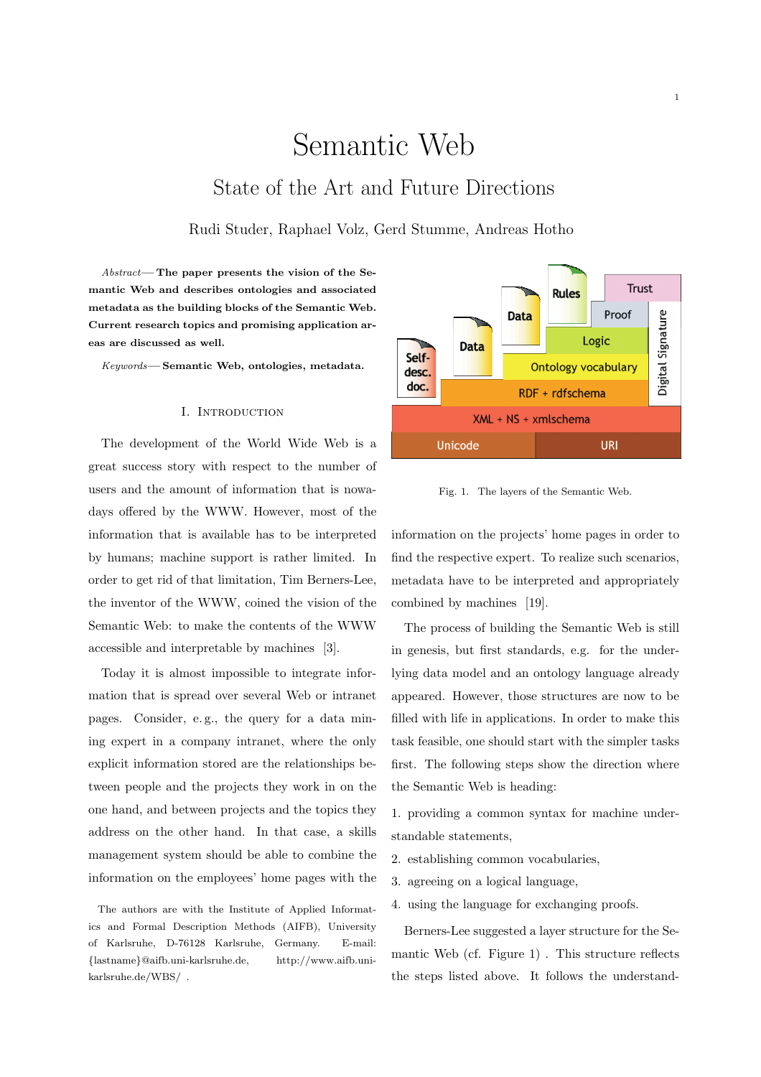# Semantic Web State of the Art and Future Directions

Rudi Studer, Raphael Volz, Gerd Stumme, Andreas Hotho

Abstract— The paper presents the vision of the Semantic Web and describes ontologies and associated metadata as the building blocks of the Semantic Web. Current research topics and promising application areas are discussed as well.

Keywords— Semantic Web, ontologies, metadata.

#### I. Introduction

The development of the World Wide Web is a great success story with respect to the number of users and the amount of information that is nowadays offered by the WWW. However, most of the information that is available has to be interpreted by humans; machine support is rather limited. In order to get rid of that limitation, Tim Berners-Lee, the inventor of the WWW, coined the vision of the Semantic Web: to make the contents of the WWW accessible and interpretable by machines [3].

Today it is almost impossible to integrate information that is spread over several Web or intranet pages. Consider, e. g., the query for a data mining expert in a company intranet, where the only explicit information stored are the relationships between people and the projects they work in on the one hand, and between projects and the topics they address on the other hand. In that case, a skills management system should be able to combine the information on the employees' home pages with the

The authors are with the Institute of Applied Informatics and Formal Description Methods (AIFB), University of Karlsruhe, D-76128 Karlsruhe, Germany. E-mail: {lastname}@aifb.uni-karlsruhe.de, http://www.aifb.unikarlsruhe.de/WBS/ .



Fig. 1. The layers of the Semantic Web.

information on the projects' home pages in order to find the respective expert. To realize such scenarios, metadata have to be interpreted and appropriately combined by machines [19].

The process of building the Semantic Web is still in genesis, but first standards, e.g. for the underlying data model and an ontology language already appeared. However, those structures are now to be filled with life in applications. In order to make this task feasible, one should start with the simpler tasks first. The following steps show the direction where the Semantic Web is heading:

1. providing a common syntax for machine understandable statements,

- 2. establishing common vocabularies,
- 3. agreeing on a logical language,
- 4. using the language for exchanging proofs.

Berners-Lee suggested a layer structure for the Semantic Web (cf. Figure 1) . This structure reflects the steps listed above. It follows the understand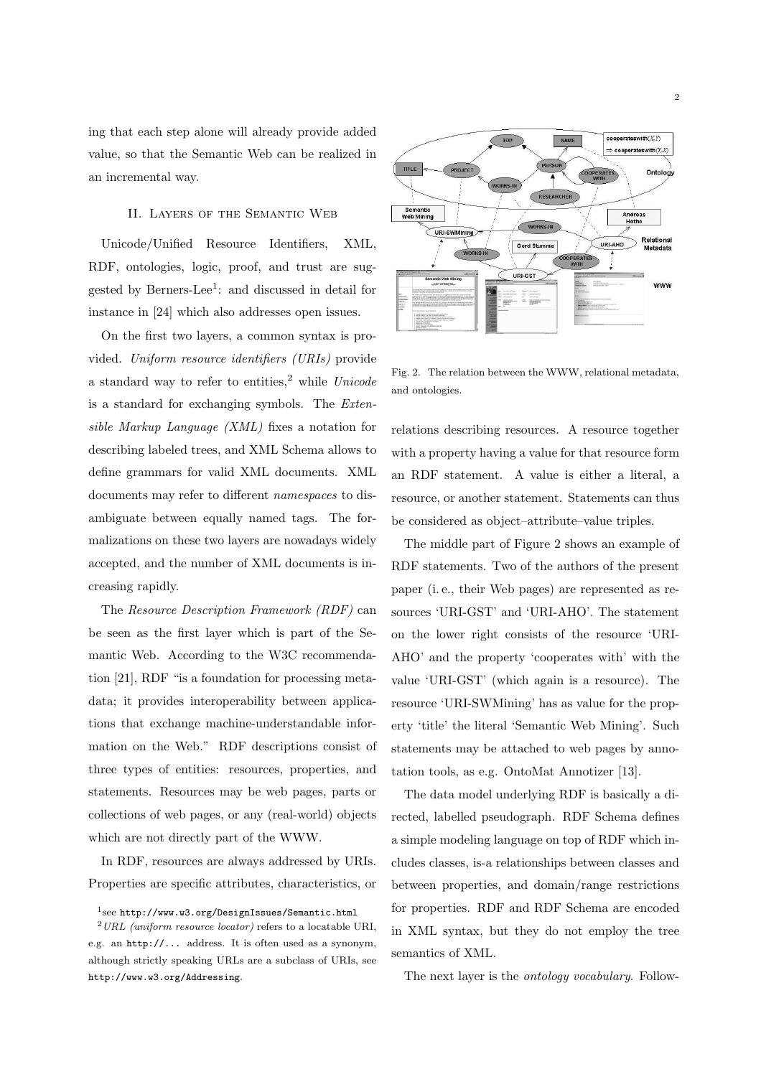ing that each step alone will already provide added value, so that the Semantic Web can be realized in an incremental way.

#### II. Layers of the Semantic Web

Unicode/Unified Resource Identifiers, XML, RDF, ontologies, logic, proof, and trust are suggested by Berners-Lee<sup>1</sup> : and discussed in detail for instance in [24] which also addresses open issues.

On the first two layers, a common syntax is provided. Uniform resource identifiers (URIs) provide a standard way to refer to entities,<sup>2</sup> while  $Unicode$ is a standard for exchanging symbols. The Extensible Markup Language (XML) fixes a notation for describing labeled trees, and XML Schema allows to define grammars for valid XML documents. XML documents may refer to different namespaces to disambiguate between equally named tags. The formalizations on these two layers are nowadays widely accepted, and the number of XML documents is increasing rapidly.

The Resource Description Framework (RDF) can be seen as the first layer which is part of the Semantic Web. According to the W3C recommendation [21], RDF "is a foundation for processing metadata; it provides interoperability between applications that exchange machine-understandable information on the Web." RDF descriptions consist of three types of entities: resources, properties, and statements. Resources may be web pages, parts or collections of web pages, or any (real-world) objects which are not directly part of the WWW.

In RDF, resources are always addressed by URIs. Properties are specific attributes, characteristics, or

 $^{2}URL$  (uniform resource locator) refers to a locatable URI, e.g. an http://... address. It is often used as a synonym, although strictly speaking URLs are a subclass of URIs, see http://www.w3.org/Addressing.



Fig. 2. The relation between the WWW, relational metadata, and ontologies.

relations describing resources. A resource together with a property having a value for that resource form an RDF statement. A value is either a literal, a resource, or another statement. Statements can thus be considered as object–attribute–value triples.

The middle part of Figure 2 shows an example of RDF statements. Two of the authors of the present paper (i. e., their Web pages) are represented as resources 'URI-GST' and 'URI-AHO'. The statement on the lower right consists of the resource 'URI-AHO' and the property 'cooperates with' with the value 'URI-GST' (which again is a resource). The resource 'URI-SWMining' has as value for the property 'title' the literal 'Semantic Web Mining'. Such statements may be attached to web pages by annotation tools, as e.g. OntoMat Annotizer [13].

The data model underlying RDF is basically a directed, labelled pseudograph. RDF Schema defines a simple modeling language on top of RDF which includes classes, is-a relationships between classes and between properties, and domain/range restrictions for properties. RDF and RDF Schema are encoded in XML syntax, but they do not employ the tree semantics of XML.

The next layer is the *ontology vocabulary*. Follow-

 $^1$ see http://www.w3.org/DesignIssues/Semantic.html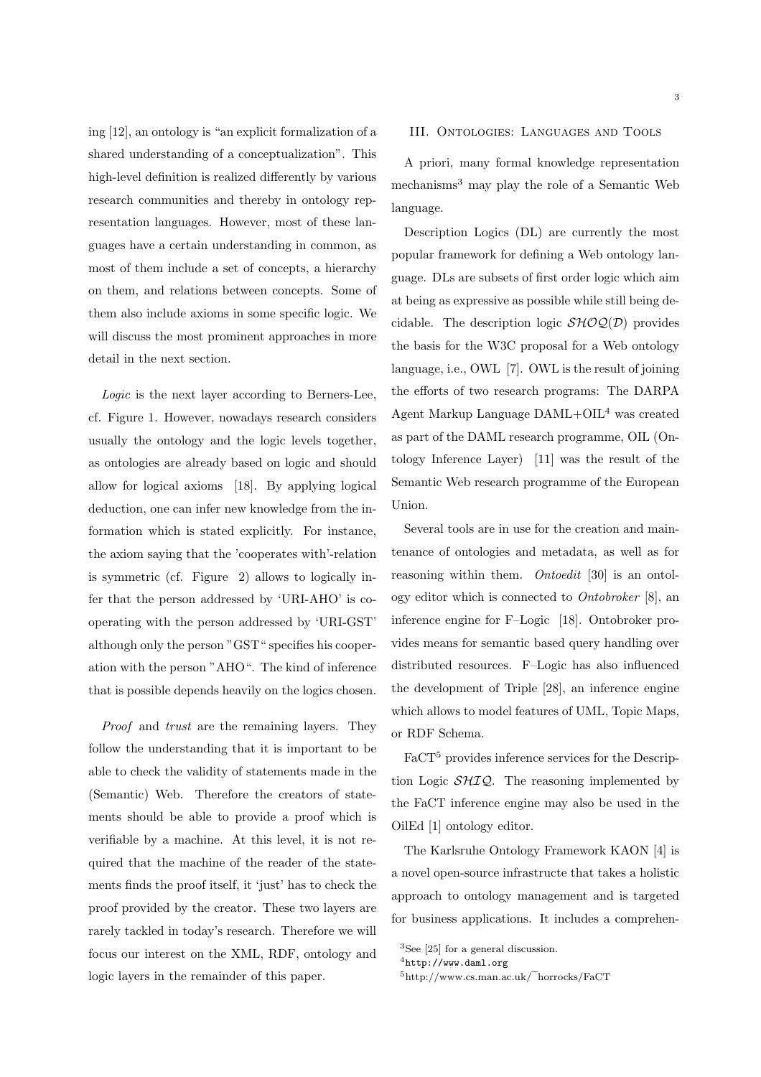ing [12], an ontology is "an explicit formalization of a shared understanding of a conceptualization". This high-level definition is realized differently by various research communities and thereby in ontology representation languages. However, most of these languages have a certain understanding in common, as most of them include a set of concepts, a hierarchy on them, and relations between concepts. Some of them also include axioms in some specific logic. We will discuss the most prominent approaches in more detail in the next section.

Logic is the next layer according to Berners-Lee, cf. Figure 1. However, nowadays research considers usually the ontology and the logic levels together, as ontologies are already based on logic and should allow for logical axioms [18]. By applying logical deduction, one can infer new knowledge from the information which is stated explicitly. For instance, the axiom saying that the 'cooperates with'-relation is symmetric (cf. Figure 2) allows to logically infer that the person addressed by 'URI-AHO' is cooperating with the person addressed by 'URI-GST' although only the person "GST" specifies his cooperation with the person "AHO". The kind of inference that is possible depends heavily on the logics chosen.

Proof and trust are the remaining layers. They follow the understanding that it is important to be able to check the validity of statements made in the (Semantic) Web. Therefore the creators of statements should be able to provide a proof which is verifiable by a machine. At this level, it is not required that the machine of the reader of the statements finds the proof itself, it 'just' has to check the proof provided by the creator. These two layers are rarely tackled in today's research. Therefore we will focus our interest on the XML, RDF, ontology and logic layers in the remainder of this paper.

#### III. Ontologies: Languages and Tools

A priori, many formal knowledge representation mechanisms<sup>3</sup> may play the role of a Semantic Web language.

Description Logics (DL) are currently the most popular framework for defining a Web ontology language. DLs are subsets of first order logic which aim at being as expressive as possible while still being decidable. The description logic  $\mathcal{SHOQ}(\mathcal{D})$  provides the basis for the W3C proposal for a Web ontology language, i.e., OWL [7]. OWL is the result of joining the efforts of two research programs: The DARPA Agent Markup Language  $DAML+OIL<sup>4</sup>$  was created as part of the DAML research programme, OIL (Ontology Inference Layer) [11] was the result of the Semantic Web research programme of the European Union.

Several tools are in use for the creation and maintenance of ontologies and metadata, as well as for reasoning within them. *Ontoedit* [30] is an ontology editor which is connected to Ontobroker [8], an inference engine for F–Logic [18]. Ontobroker provides means for semantic based query handling over distributed resources. F–Logic has also influenced the development of Triple [28], an inference engine which allows to model features of UML, Topic Maps, or RDF Schema.

FaCT<sup>5</sup> provides inference services for the Description Logic  $\mathcal{SHIQ}$ . The reasoning implemented by the FaCT inference engine may also be used in the OilEd [1] ontology editor.

The Karlsruhe Ontology Framework KAON [4] is a novel open-source infrastructe that takes a holistic approach to ontology management and is targeted for business applications. It includes a comprehen-

<sup>3</sup>See [25] for a general discussion.

 $4$ http://www.daml.org

 $^{5}$ http://www.cs.man.ac.uk/ $\sim$ horrocks/FaCT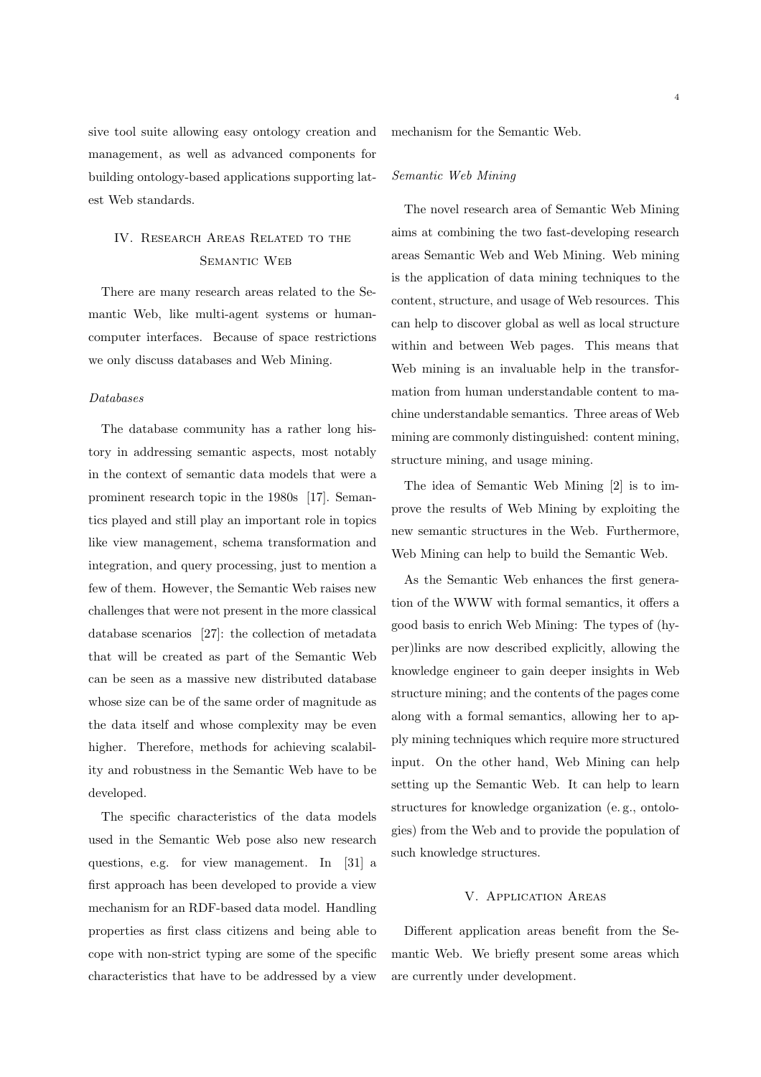sive tool suite allowing easy ontology creation and management, as well as advanced components for building ontology-based applications supporting latest Web standards.

# IV. Research Areas Related to the SEMANTIC WEB

There are many research areas related to the Semantic Web, like multi-agent systems or humancomputer interfaces. Because of space restrictions we only discuss databases and Web Mining.

### Databases

The database community has a rather long history in addressing semantic aspects, most notably in the context of semantic data models that were a prominent research topic in the 1980s [17]. Semantics played and still play an important role in topics like view management, schema transformation and integration, and query processing, just to mention a few of them. However, the Semantic Web raises new challenges that were not present in the more classical database scenarios [27]: the collection of metadata that will be created as part of the Semantic Web can be seen as a massive new distributed database whose size can be of the same order of magnitude as the data itself and whose complexity may be even higher. Therefore, methods for achieving scalability and robustness in the Semantic Web have to be developed.

The specific characteristics of the data models used in the Semantic Web pose also new research questions, e.g. for view management. In [31] a first approach has been developed to provide a view mechanism for an RDF-based data model. Handling properties as first class citizens and being able to cope with non-strict typing are some of the specific characteristics that have to be addressed by a view

mechanism for the Semantic Web.

#### Semantic Web Mining

The novel research area of Semantic Web Mining aims at combining the two fast-developing research areas Semantic Web and Web Mining. Web mining is the application of data mining techniques to the content, structure, and usage of Web resources. This can help to discover global as well as local structure within and between Web pages. This means that Web mining is an invaluable help in the transformation from human understandable content to machine understandable semantics. Three areas of Web mining are commonly distinguished: content mining, structure mining, and usage mining.

The idea of Semantic Web Mining [2] is to improve the results of Web Mining by exploiting the new semantic structures in the Web. Furthermore, Web Mining can help to build the Semantic Web.

As the Semantic Web enhances the first generation of the WWW with formal semantics, it offers a good basis to enrich Web Mining: The types of (hyper)links are now described explicitly, allowing the knowledge engineer to gain deeper insights in Web structure mining; and the contents of the pages come along with a formal semantics, allowing her to apply mining techniques which require more structured input. On the other hand, Web Mining can help setting up the Semantic Web. It can help to learn structures for knowledge organization (e. g., ontologies) from the Web and to provide the population of such knowledge structures.

#### V. Application Areas

Different application areas benefit from the Semantic Web. We briefly present some areas which are currently under development.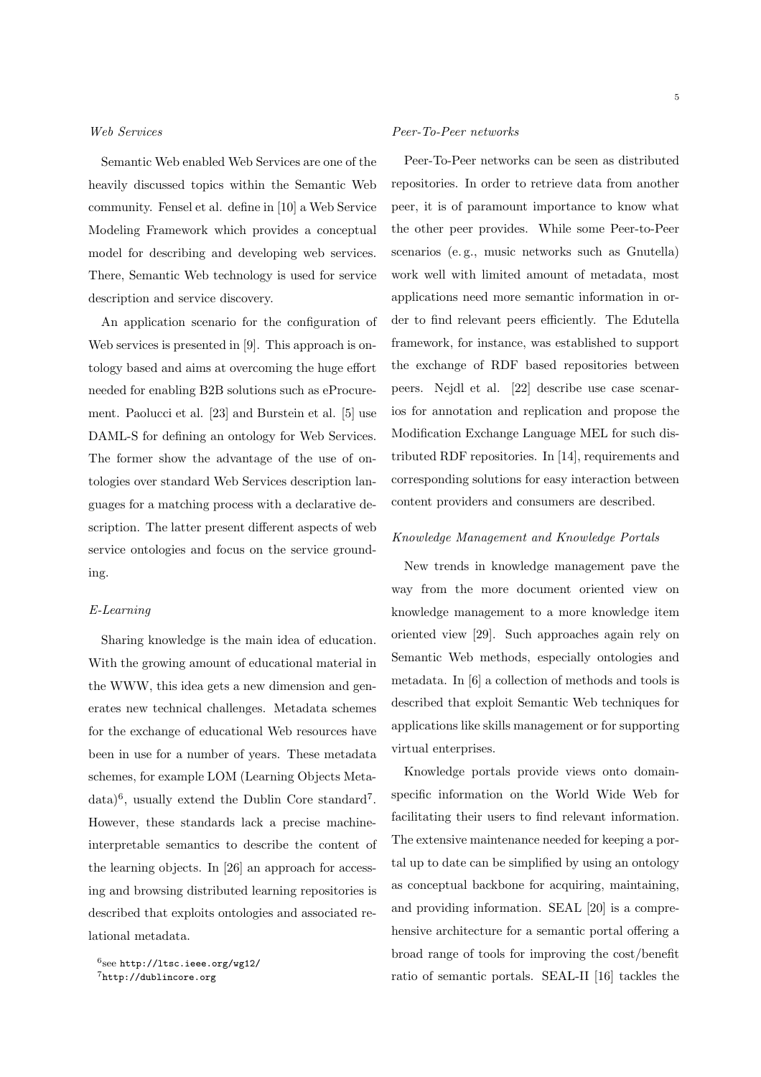#### Web Services

Semantic Web enabled Web Services are one of the heavily discussed topics within the Semantic Web community. Fensel et al. define in [10] a Web Service Modeling Framework which provides a conceptual model for describing and developing web services. There, Semantic Web technology is used for service description and service discovery.

An application scenario for the configuration of Web services is presented in [9]. This approach is ontology based and aims at overcoming the huge effort needed for enabling B2B solutions such as eProcurement. Paolucci et al. [23] and Burstein et al. [5] use DAML-S for defining an ontology for Web Services. The former show the advantage of the use of ontologies over standard Web Services description languages for a matching process with a declarative description. The latter present different aspects of web service ontologies and focus on the service grounding.

## E-Learning

Sharing knowledge is the main idea of education. With the growing amount of educational material in the WWW, this idea gets a new dimension and generates new technical challenges. Metadata schemes for the exchange of educational Web resources have been in use for a number of years. These metadata schemes, for example LOM (Learning Objects Meta $data$ <sup>6</sup>, usually extend the Dublin Core standard<sup>7</sup>. However, these standards lack a precise machineinterpretable semantics to describe the content of the learning objects. In [26] an approach for accessing and browsing distributed learning repositories is described that exploits ontologies and associated relational metadata.

#### Peer-To-Peer networks

Peer-To-Peer networks can be seen as distributed repositories. In order to retrieve data from another peer, it is of paramount importance to know what the other peer provides. While some Peer-to-Peer scenarios (e. g., music networks such as Gnutella) work well with limited amount of metadata, most applications need more semantic information in order to find relevant peers efficiently. The Edutella framework, for instance, was established to support the exchange of RDF based repositories between peers. Nejdl et al. [22] describe use case scenarios for annotation and replication and propose the Modification Exchange Language MEL for such distributed RDF repositories. In [14], requirements and corresponding solutions for easy interaction between content providers and consumers are described.

#### Knowledge Management and Knowledge Portals

New trends in knowledge management pave the way from the more document oriented view on knowledge management to a more knowledge item oriented view [29]. Such approaches again rely on Semantic Web methods, especially ontologies and metadata. In [6] a collection of methods and tools is described that exploit Semantic Web techniques for applications like skills management or for supporting virtual enterprises.

Knowledge portals provide views onto domainspecific information on the World Wide Web for facilitating their users to find relevant information. The extensive maintenance needed for keeping a portal up to date can be simplified by using an ontology as conceptual backbone for acquiring, maintaining, and providing information. SEAL [20] is a comprehensive architecture for a semantic portal offering a broad range of tools for improving the cost/benefit ratio of semantic portals. SEAL-II [16] tackles the

 $^6$ see http://ltsc.ieee.org/wg12/ <sup>7</sup>http://dublincore.org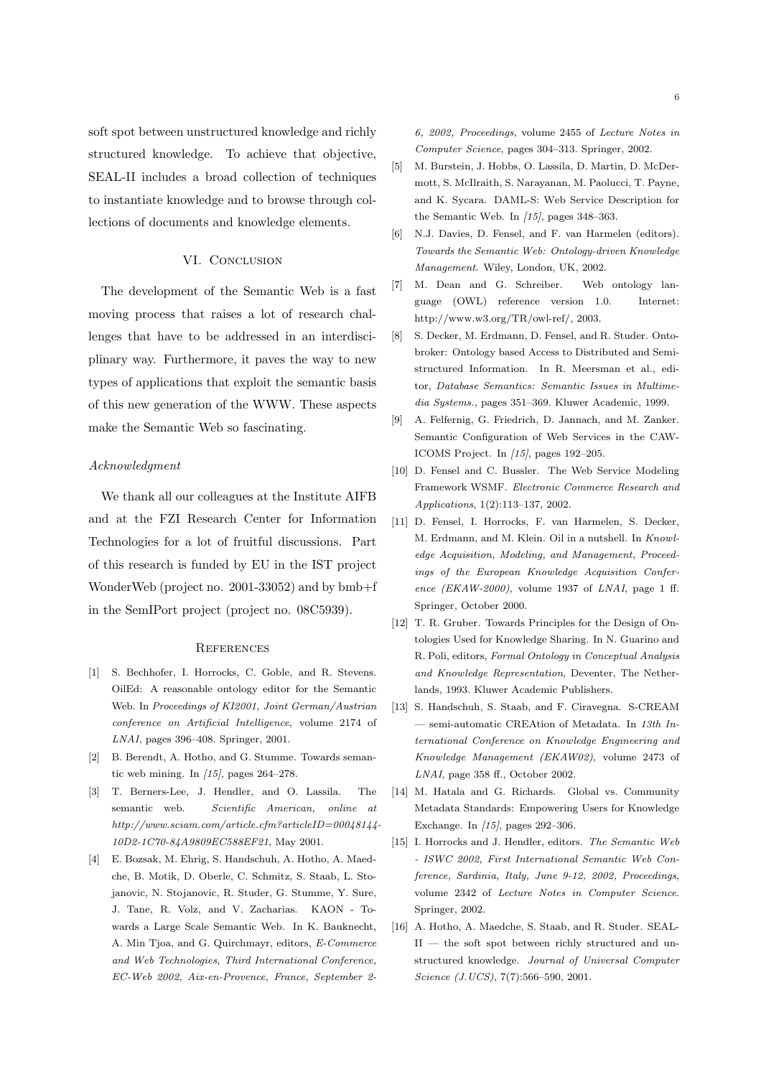soft spot between unstructured knowledge and richly structured knowledge. To achieve that objective, SEAL-II includes a broad collection of techniques to instantiate knowledge and to browse through collections of documents and knowledge elements.

# VI. CONCLUSION

The development of the Semantic Web is a fast moving process that raises a lot of research challenges that have to be addressed in an interdisciplinary way. Furthermore, it paves the way to new types of applications that exploit the semantic basis of this new generation of the WWW. These aspects make the Semantic Web so fascinating.

#### Acknowledgment

We thank all our colleagues at the Institute AIFB and at the FZI Research Center for Information Technologies for a lot of fruitful discussions. Part of this research is funded by EU in the IST project WonderWeb (project no. 2001-33052) and by bmb+f in the SemIPort project (project no. 08C5939).

#### **REFERENCES**

- [1] S. Bechhofer, I. Horrocks, C. Goble, and R. Stevens. OilEd: A reasonable ontology editor for the Semantic Web. In Proceedings of KI2001, Joint German/Austrian conference on Artificial Intelligence, volume 2174 of LNAI, pages 396–408. Springer, 2001.
- [2] B. Berendt, A. Hotho, and G. Stumme. Towards semantic web mining. In  $[15]$ , pages 264-278.
- [3] T. Berners-Lee, J. Hendler, and O. Lassila. The semantic web. Scientific American, online at http://www.sciam.com/article.cfm?articleID=00048144- 10D2-1C70-84A9809EC588EF21, May 2001.
- [4] E. Bozsak, M. Ehrig, S. Handschuh, A. Hotho, A. Maedche, B. Motik, D. Oberle, C. Schmitz, S. Staab, L. Stojanovic, N. Stojanovic, R. Studer, G. Stumme, Y. Sure, J. Tane, R. Volz, and V. Zacharias. KAON - Towards a Large Scale Semantic Web. In K. Bauknecht, A. Min Tjoa, and G. Quirchmayr, editors, E-Commerce and Web Technologies, Third International Conference, EC-Web 2002, Aix-en-Provence, France, September 2-

6, 2002, Proceedings, volume 2455 of Lecture Notes in Computer Science, pages 304–313. Springer, 2002.

- [5] M. Burstein, J. Hobbs, O. Lassila, D. Martin, D. McDermott, S. McIlraith, S. Narayanan, M. Paolucci, T. Payne, and K. Sycara. DAML-S: Web Service Description for the Semantic Web. In [15], pages 348–363.
- [6] N.J. Davies, D. Fensel, and F. van Harmelen (editors). Towards the Semantic Web: Ontology-driven Knowledge Management. Wiley, London, UK, 2002.
- [7] M. Dean and G. Schreiber. Web ontology language (OWL) reference version 1.0. Internet: http://www.w3.org/TR/owl-ref/, 2003.
- [8] S. Decker, M. Erdmann, D. Fensel, and R. Studer. Ontobroker: Ontology based Access to Distributed and Semistructured Information. In R. Meersman et al., editor, Database Semantics: Semantic Issues in Multimedia Systems., pages 351–369. Kluwer Academic, 1999.
- [9] A. Felfernig, G. Friedrich, D. Jannach, and M. Zanker. Semantic Configuration of Web Services in the CAW-ICOMS Project. In [15], pages 192–205.
- [10] D. Fensel and C. Bussler. The Web Service Modeling Framework WSMF. Electronic Commerce Research and Applications, 1(2):113–137, 2002.
- [11] D. Fensel, I. Horrocks, F. van Harmelen, S. Decker, M. Erdmann, and M. Klein. Oil in a nutshell. In Knowledge Acquisition, Modeling, and Management, Proceedings of the European Knowledge Acquisition Conference (EKAW-2000), volume 1937 of LNAI, page 1 ff. Springer, October 2000.
- [12] T. R. Gruber. Towards Principles for the Design of Ontologies Used for Knowledge Sharing. In N. Guarino and R. Poli, editors, Formal Ontology in Conceptual Analysis and Knowledge Representation, Deventer, The Netherlands, 1993. Kluwer Academic Publishers.
- [13] S. Handschuh, S. Staab, and F. Ciravegna. S-CREAM — semi-automatic CREAtion of Metadata. In 13th International Conference on Knowledge Engineering and Knowledge Management (EKAW02), volume 2473 of LNAI, page 358 ff., October 2002.
- [14] M. Hatala and G. Richards. Global vs. Community Metadata Standards: Empowering Users for Knowledge Exchange. In [15], pages 292–306.
- [15] I. Horrocks and J. Hendler, editors. The Semantic Web - ISWC 2002, First International Semantic Web Conference, Sardinia, Italy, June 9-12, 2002, Proceedings, volume 2342 of Lecture Notes in Computer Science. Springer, 2002.
- [16] A. Hotho, A. Maedche, S. Staab, and R. Studer. SEAL-II — the soft spot between richly structured and unstructured knowledge. Journal of Universal Computer Science (J.UCS), 7(7):566–590, 2001.